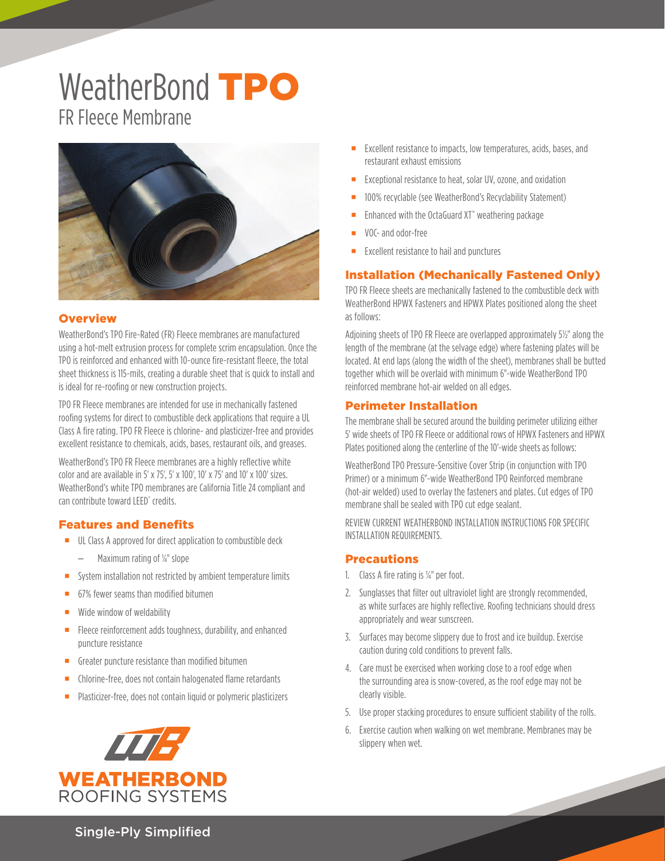# WeatherBond TPO FR Fleece Membrane



#### **Overview**

WeatherBond's TPO Fire-Rated (FR) Fleece membranes are manufactured using a hot-melt extrusion process for complete scrim encapsulation. Once the TPO is reinforced and enhanced with 10-ounce fire-resistant fleece, the total sheet thickness is 115-mils, creating a durable sheet that is quick to install and is ideal for re-roofing or new construction projects.

TPO FR Fleece membranes are intended for use in mechanically fastened roofing systems for direct to combustible deck applications that require a UL Class A fire rating. TPO FR Fleece is chlorine- and plasticizer-free and provides excellent resistance to chemicals, acids, bases, restaurant oils, and greases.

WeatherBond's TPO FR Fleece membranes are a highly reflective white color and are available in 5' x 75', 5' x 100', 10' x 75' and 10' x 100' sizes. WeatherBond's white TPO membranes are California Title 24 compliant and can contribute toward LEED® credits.

#### Features and Benefits

- UL Class A approved for direct application to combustible deck
	- Maximum rating of ¼" slope
- System installation not restricted by ambient temperature limits
- 67% fewer seams than modified bitumen
- **Wide window of weldability**
- Fleece reinforcement adds toughness, durability, and enhanced puncture resistance
- Greater puncture resistance than modified bitumen
- **EXEC** Chlorine-free, does not contain halogenated flame retardants
- **Plasticizer-free, does not contain liquid or polymeric plasticizers**



- Excellent resistance to impacts, low temperatures, acids, bases, and restaurant exhaust emissions
- **EXCEPTED FIGURE 2018** Exceptional resistance to heat, solar UV, ozone, and oxidation
- 100% recyclable (see WeatherBond's Recyclability Statement)
- Enhanced with the OctaGuard XT<sup>™</sup> weathering package
- VOC- and odor-free
- Excellent resistance to hail and punctures

#### Installation (Mechanically Fastened Only)

TPO FR Fleece sheets are mechanically fastened to the combustible deck with WeatherBond HPWX Fasteners and HPWX Plates positioned along the sheet as follows:

Adjoining sheets of TPO FR Fleece are overlapped approximately 5½" along the length of the membrane (at the selvage edge) where fastening plates will be located. At end laps (along the width of the sheet), membranes shall be butted together which will be overlaid with minimum 6"-wide WeatherBond TPO reinforced membrane hot-air welded on all edges.

#### Perimeter Installation

The membrane shall be secured around the building perimeter utilizing either 5' wide sheets of TPO FR Fleece or additional rows of HPWX Fasteners and HPWX Plates positioned along the centerline of the 10'-wide sheets as follows:

WeatherBond TPO Pressure-Sensitive Cover Strip (in conjunction with TPO Primer) or a minimum 6"-wide WeatherBond TPO Reinforced membrane (hot-air welded) used to overlay the fasteners and plates. Cut edges of TPO membrane shall be sealed with TPO cut edge sealant.

REVIEW CURRENT WEATHERBOND INSTALLATION INSTRUCTIONS FOR SPECIFIC INSTALLATION REQUIREMENTS.

#### **Precautions**

- 1. Class A fire rating is ¼" per foot.
- 2. Sunglasses that filter out ultraviolet light are strongly recommended, as white surfaces are highly reflective. Roofing technicians should dress appropriately and wear sunscreen.
- 3. Surfaces may become slippery due to frost and ice buildup. Exercise caution during cold conditions to prevent falls.
- 4. Care must be exercised when working close to a roof edge when the surrounding area is snow-covered, as the roof edge may not be clearly visible.
- 5. Use proper stacking procedures to ensure sufficient stability of the rolls.
- 6. Exercise caution when walking on wet membrane. Membranes may be slippery when wet.

Single-Ply Simplified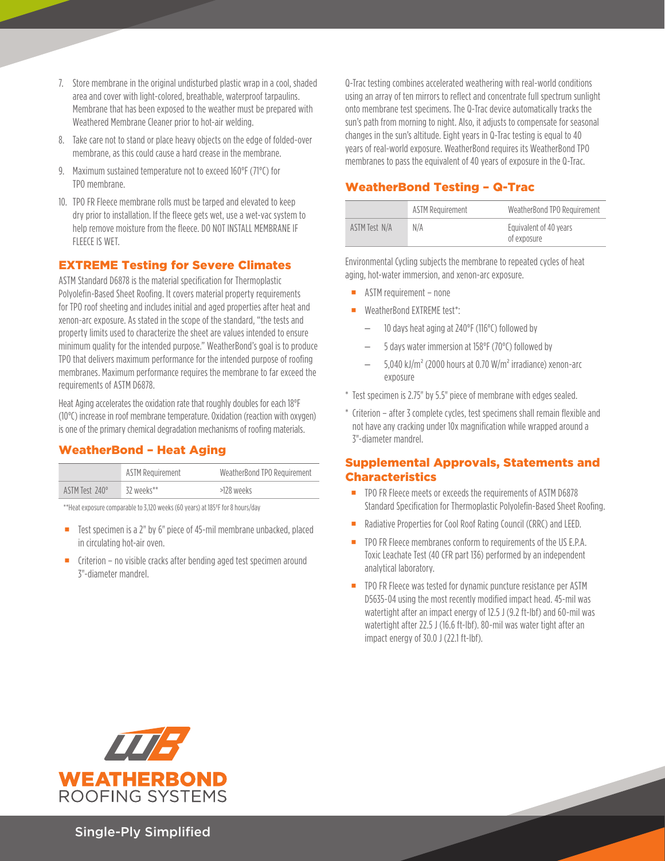- 7. Store membrane in the original undisturbed plastic wrap in a cool, shaded area and cover with light-colored, breathable, waterproof tarpaulins. Membrane that has been exposed to the weather must be prepared with Weathered Membrane Cleaner prior to hot-air welding.
- 8. Take care not to stand or place heavy objects on the edge of folded-over membrane, as this could cause a hard crease in the membrane.
- 9. Maximum sustained temperature not to exceed 160°F (71°C) for TPO membrane.
- 10. TPO FR Fleece membrane rolls must be tarped and elevated to keep dry prior to installation. If the fleece gets wet, use a wet-vac system to help remove moisture from the fleece. DO NOT INSTALL MEMBRANE IF FLEECE IS WET.

#### EXTREME Testing for Severe Climates

ASTM Standard D6878 is the material specification for Thermoplastic Polyolefin-Based Sheet Roofing. It covers material property requirements for TPO roof sheeting and includes initial and aged properties after heat and xenon-arc exposure. As stated in the scope of the standard, "the tests and property limits used to characterize the sheet are values intended to ensure minimum quality for the intended purpose." WeatherBond's goal is to produce TPO that delivers maximum performance for the intended purpose of roofing membranes. Maximum performance requires the membrane to far exceed the requirements of ASTM D6878.

Heat Aging accelerates the oxidation rate that roughly doubles for each 18°F (10°C) increase in roof membrane temperature. Oxidation (reaction with oxygen) is one of the primary chemical degradation mechanisms of roofing materials.

### WeatherBond – Heat Aging

|                | <b>ASTM Requirement</b> | WeatherBond TPO Requirement |
|----------------|-------------------------|-----------------------------|
| ASTM Test 240° | 32 weeks**              | >128 weeks                  |

\*\*Heat exposure comparable to 3,120 weeks (60 years) at 185ºF for 8 hours/day

- $\blacksquare$  Test specimen is a 2" by 6" piece of 45-mil membrane unbacked, placed in circulating hot-air oven.
- $\blacksquare$  Criterion no visible cracks after bending aged test specimen around 3"-diameter mandrel.

Q-Trac testing combines accelerated weathering with real-world conditions using an array of ten mirrors to reflect and concentrate full spectrum sunlight onto membrane test specimens. The Q-Trac device automatically tracks the sun's path from morning to night. Also, it adjusts to compensate for seasonal changes in the sun's altitude. Eight years in Q-Trac testing is equal to 40 years of real-world exposure. WeatherBond requires its WeatherBond TPO membranes to pass the equivalent of 40 years of exposure in the Q-Trac.

## WeatherBond Testing – Q-Trac

|               | <b>ASTM Requirement</b> | WeatherBond TPO Requirement           |
|---------------|-------------------------|---------------------------------------|
| ASTM Test N/A | N/A                     | Equivalent of 40 years<br>of exposure |

Environmental Cycling subjects the membrane to repeated cycles of heat aging, hot-water immersion, and xenon-arc exposure.

- **ASTM requirement none**
- WeatherBond EXTREME test\*:
	- 10 days heat aging at 240°F (116°C) followed by
	- 5 days water immersion at 158°F (70°C) followed by
	- $-$  5,040 kJ/m<sup>2</sup> (2000 hours at 0.70 W/m<sup>2</sup> irradiance) xenon-arc exposure
- \* Test specimen is 2.75" by 5.5" piece of membrane with edges sealed.
- \* Criterion after 3 complete cycles, test specimens shall remain flexible and not have any cracking under 10x magnification while wrapped around a 3"-diameter mandrel.

#### Supplemental Approvals, Statements and Characteristics

- TPO FR Fleece meets or exceeds the requirements of ASTM D6878 Standard Specification for Thermoplastic Polyolefin-Based Sheet Roofing.
- Radiative Properties for Cool Roof Rating Council (CRRC) and LEED.
- TPO FR Fleece membranes conform to requirements of the US E.P.A. Toxic Leachate Test (40 CFR part 136) performed by an independent analytical laboratory.
- **THEO FR FLEECE was tested for dynamic puncture resistance per ASTM** D5635-04 using the most recently modified impact head. 45-mil was watertight after an impact energy of 12.5 J (9.2 ft-lbf) and 60-mil was watertight after 22.5 J (16.6 ft-lbf). 80-mil was water tight after an impact energy of 30.0 J (22.1 ft-lbf).



Single-Ply Simplified